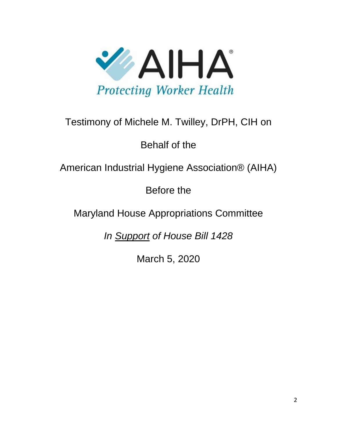

## Testimony of Michele M. Twilley, DrPH, CIH on

Behalf of the

American Industrial Hygiene Association® (AIHA)

Before the

Maryland House Appropriations Committee

*In Support of House Bill 1428*

March 5, 2020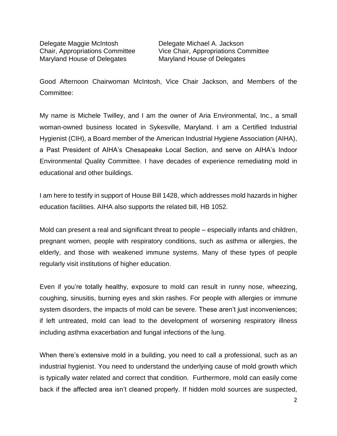Delegate Maggie McIntosh Delegate Michael A. Jackson Maryland House of Delegates Maryland House of Delegates

Chair, Appropriations Committee Vice Chair, Appropriations Committee

Good Afternoon Chairwoman McIntosh, Vice Chair Jackson, and Members of the Committee:

My name is Michele Twilley, and I am the owner of Aria Environmental, Inc., a small woman-owned business located in Sykesville, Maryland. I am a Certified Industrial Hygienist (CIH), a Board member of the American Industrial Hygiene Association (AIHA), a Past President of AIHA's Chesapeake Local Section, and serve on AIHA's Indoor Environmental Quality Committee. I have decades of experience remediating mold in educational and other buildings.

I am here to testify in support of House Bill 1428, which addresses mold hazards in higher education facilities. AIHA also supports the related bill, HB 1052.

Mold can present a real and significant threat to people – especially infants and children, pregnant women, people with respiratory conditions, such as asthma or allergies, the elderly, and those with weakened immune systems. Many of these types of people regularly visit institutions of higher education.

Even if you're totally healthy, exposure to mold can result in runny nose, wheezing, coughing, sinusitis, burning eyes and skin rashes. For people with allergies or immune system disorders, the impacts of mold can be severe. These aren't just inconveniences; if left untreated, mold can lead to the development of worsening respiratory illness including asthma exacerbation and fungal infections of the lung.

When there's extensive mold in a building, you need to call a professional, such as an industrial hygienist. You need to understand the underlying cause of mold growth which is typically water related and correct that condition. Furthermore, mold can easily come back if the affected area isn't cleaned properly. If hidden mold sources are suspected,